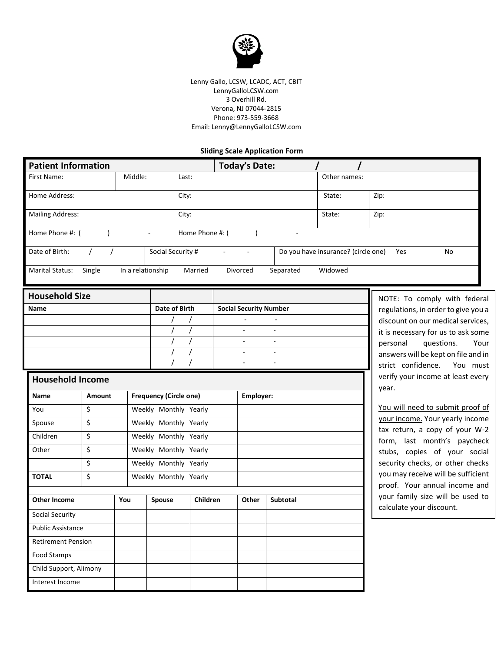

Lenny Gallo, LCSW, LCADC, ACT, CBIT LennyGalloLCSW.com 3 Overhill Rd. Verona, NJ 07044-2815 Phone: 973-559-3668 Email: Lenny@LennyGalloLCSW.com

## **Sliding Scale Application Form**

| <b>Patient Information</b>                                  |        |                                                |                       |               | <b>Today's Date:</b>     |                                     |              |                                                                      |  |
|-------------------------------------------------------------|--------|------------------------------------------------|-----------------------|---------------|--------------------------|-------------------------------------|--------------|----------------------------------------------------------------------|--|
| Middle:<br>First Name:                                      |        |                                                |                       | Last:         |                          |                                     | Other names: |                                                                      |  |
| Home Address:                                               |        |                                                |                       | City:         |                          |                                     | State:       | Zip:                                                                 |  |
| <b>Mailing Address:</b>                                     |        |                                                |                       | City:         |                          |                                     | State:       | Zip:                                                                 |  |
| Home Phone #: (<br>Home Phone #: (                          |        |                                                |                       |               | $\lambda$                |                                     |              |                                                                      |  |
| Date of Birth:<br>Social Security #<br>$\prime$<br>$\prime$ |        |                                                |                       |               |                          | Do you have insurance? (circle one) | Yes<br>No    |                                                                      |  |
| Marital Status:                                             | Single | In a relationship                              |                       | Married       | Divorced                 | Separated                           | Widowed      |                                                                      |  |
| <b>Household Size</b>                                       |        |                                                |                       |               |                          |                                     |              | NOTE: To comply with federal                                         |  |
| Name                                                        |        |                                                |                       | Date of Birth |                          | <b>Social Security Number</b>       |              | regulations, in order to give you a                                  |  |
|                                                             |        |                                                |                       |               |                          |                                     |              | discount on our medical services,                                    |  |
|                                                             |        |                                                |                       |               |                          |                                     |              | it is necessary for us to ask some<br>questions.<br>personal<br>Your |  |
|                                                             |        |                                                |                       |               | $\overline{\phantom{a}}$ |                                     |              |                                                                      |  |
|                                                             |        |                                                |                       |               |                          | $\sim$<br>$\sim$                    |              | answers will be kept on file and in                                  |  |
|                                                             |        |                                                |                       |               | ä,                       | $\overline{\phantom{a}}$            |              | strict confidence.<br>You must                                       |  |
| <b>Household Income</b>                                     |        |                                                |                       |               |                          |                                     |              | verify your income at least every<br>year.                           |  |
| Name                                                        | Amount | <b>Frequency (Circle one)</b>                  |                       |               |                          | Employer:                           |              |                                                                      |  |
| You                                                         | \$     | Weekly Monthly Yearly                          |                       |               |                          |                                     |              | You will need to submit proof of                                     |  |
| Spouse                                                      | \$     | Weekly Monthly Yearly<br>Weekly Monthly Yearly |                       |               |                          |                                     |              | your income. Your yearly income                                      |  |
| Children                                                    | \$     |                                                |                       |               |                          |                                     |              | tax return, a copy of your W-2<br>form, last month's paycheck        |  |
| Other                                                       | \$     |                                                | Weekly Monthly Yearly |               |                          |                                     |              | stubs, copies of your social                                         |  |
| \$                                                          |        |                                                | Weekly Monthly Yearly |               |                          |                                     |              | security checks, or other checks                                     |  |
| <b>TOTAL</b>                                                | \$     | Weekly Monthly Yearly                          |                       |               |                          |                                     |              | you may receive will be sufficient                                   |  |
|                                                             |        |                                                |                       |               |                          |                                     |              | proof. Your annual income and                                        |  |
| <b>Other Income</b>                                         |        | You                                            | Spouse                |               | Children<br>Other        | Subtotal                            |              | your family size will be used to<br>calculate your discount.         |  |
| Social Security                                             |        |                                                |                       |               |                          |                                     |              |                                                                      |  |
| <b>Public Assistance</b>                                    |        |                                                |                       |               |                          |                                     |              |                                                                      |  |
| <b>Retirement Pension</b>                                   |        |                                                |                       |               |                          |                                     |              |                                                                      |  |
| Food Stamps                                                 |        |                                                |                       |               |                          |                                     |              |                                                                      |  |
| Child Support, Alimony                                      |        |                                                |                       |               |                          |                                     |              |                                                                      |  |
| Interest Income                                             |        |                                                |                       |               |                          |                                     |              |                                                                      |  |